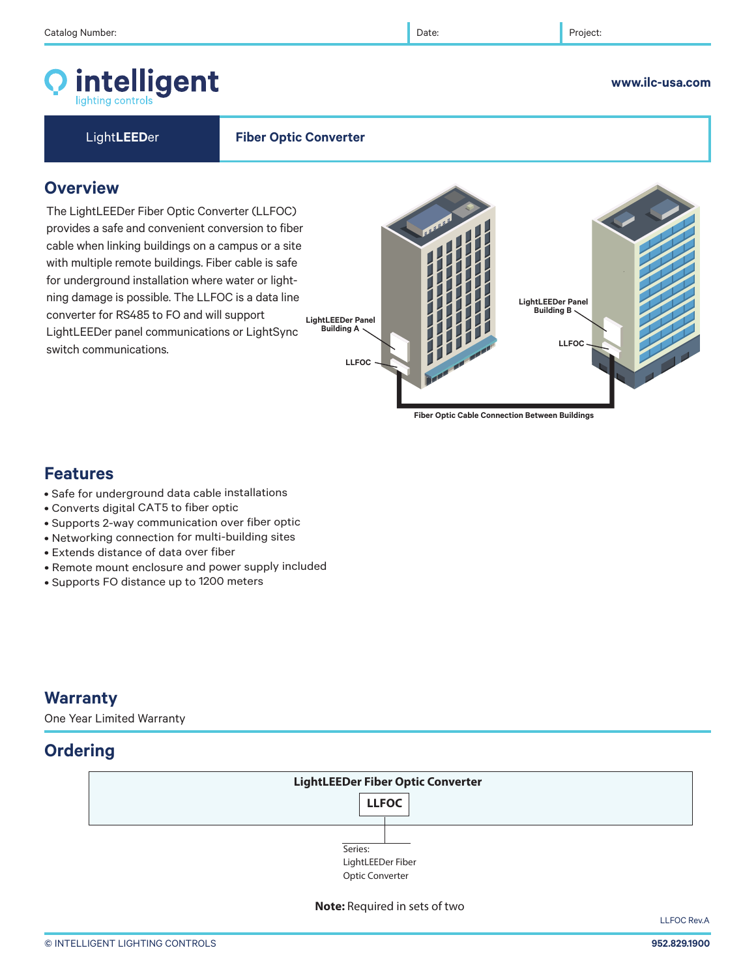# intelligent

**www.ilc-usa.com** 

Light**LEED**er **Fiber Optic Converter**

## **Overview**

The LightLEEDer Fiber Optic Converter (LLFOC) provides a safe and convenient conversion to fiber cable when linking buildings on a campus or a site with multiple remote buildings. Fiber cable is safe for underground installation where water or lightning damage is possible. The LLFOC is a data line converter for RS485 to FO and will support LightLEEDer panel communications or LightSync switch communications.



**Fiber Optic Cable Connection Between Buildings**

# **Features**

- Safe for underground data cable installations
- Converts digital CAT5 to fiber optic
- Supports 2-way communication over fiber optic
- Networking connection for multi-building sites
- Extends distance of data over fiber
- Remote mount enclosure and power supply included
- Supports FO distance up to 1200 meters

# **Warranty**

One Year Limited Warranty

# **Ordering**



LLFOC Rev.A